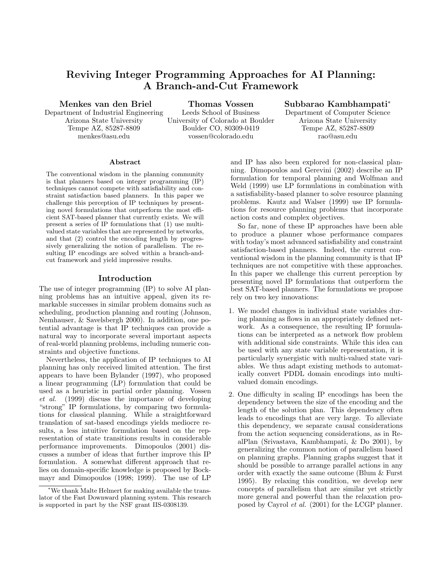# **Reviving Integer Programming Approaches for AI Planning: A Branch-and-Cut Framework**

**Menkes van den Briel**

**Thomas Vossen**

**Subbarao Kambhampati**<sup>∗</sup>

Department of Industrial Engineering Arizona State University Tempe AZ, 85287-8809 menkes@asu.edu

Leeds School of Business University of Colorado at Boulder Boulder CO, 80309-0419 vossen@colorado.edu

Department of Computer Science Arizona State University Tempe AZ, 85287-8809 rao@asu.edu

#### **Abstract**

The conventional wisdom in the planning community is that planners based on integer programming (IP) techniques cannot compete with satisfiability and constraint satisfaction based planners. In this paper we challenge this perception of IP techniques by presenting novel formulations that outperform the most efficient SAT-based planner that currently exists. We will present a series of IP formulations that (1) use multivalued state variables that are represented by networks, and that (2) control the encoding length by progressively generalizing the notion of parallelism. The resulting IP encodings are solved within a branch-andcut framework and yield impressive results.

# **Introduction**

The use of integer programming (IP) to solve AI planning problems has an intuitive appeal, given its remarkable successes in similar problem domains such as scheduling, production planning and routing (Johnson, Nemhauser, & Savelsbergh 2000). In addition, one potential advantage is that IP techniques can provide a natural way to incorporate several important aspects of real-world planning problems, including numeric constraints and objective functions.

Nevertheless, the application of IP techniques to AI planning has only received limited attention. The first appears to have been Bylander (1997), who proposed a linear programming (LP) formulation that could be used as a heuristic in partial order planning. Vossen *et al.* (1999) discuss the importance of developing "strong" IP formulations, by comparing two formulations for classical planning. While a straightforward translation of sat-based encodings yields mediocre results, a less intuitive formulation based on the representation of state transitions results in considerable performance improvements. Dimopoulos (2001) discusses a number of ideas that further improve this IP formulation. A somewhat different approach that relies on domain-specific knowledge is proposed by Bockmayr and Dimopoulos (1998; 1999). The use of LP

and IP has also been explored for non-classical planning. Dimopoulos and Gerevini (2002) describe an IP formulation for temporal planning and Wolfman and Weld (1999) use LP formulations in combination with a satisfiability-based planner to solve resource planning problems. Kautz and Walser (1999) use IP formulations for resource planning problems that incorporate action costs and complex objectives.

So far, none of these IP approaches have been able to produce a planner whose performance compares with today's most advanced satisfiability and constraint satisfaction-based planners. Indeed, the current conventional wisdom in the planning community is that IP techniques are not competitive with these approaches. In this paper we challenge this current perception by presenting novel IP formulations that outperform the best SAT-based planners. The formulations we propose rely on two key innovations:

- 1. We model changes in individual state variables during planning as flows in an appropriately defined network. As a consequence, the resulting IP formulations can be interpreted as a network flow problem with additional side constraints. While this idea can be used with any state variable representation, it is particularly synergistic with multi-valued state variables. We thus adapt existing methods to automatically convert PDDL domain encodings into multivalued domain encodings.
- 2. One difficulty in scaling IP encodings has been the dependency between the size of the encoding and the length of the solution plan. This dependency often leads to encodings that are very large. To alleviate this dependency, we separate causal considerations from the action sequencing considerations, as in RealPlan (Srivastava, Kambhampati, & Do 2001), by generalizing the common notion of parallelism based on planning graphs. Planning graphs suggest that it should be possible to arrange parallel actions in any order with exactly the same outcome (Blum & Furst 1995). By relaxing this condition, we develop new concepts of parallelism that are similar yet strictly more general and powerful than the relaxation proposed by Cayrol *et al.* (2001) for the LCGP planner.

<sup>∗</sup>We thank Malte Helmert for making available the translator of the Fast Downward planning system. This research is supported in part by the NSF grant IIS-0308139.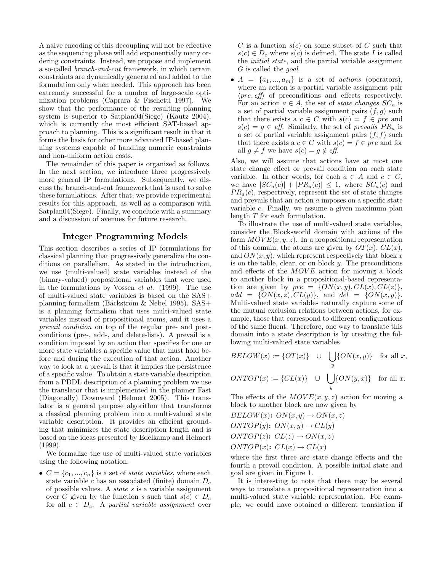A naive encoding of this decoupling will not be effective as the sequencing phase will add exponentially many ordering constraints. Instead, we propose and implement a so-called *branch-and-cut* framework, in which certain constraints are dynamically generated and added to the formulation only when needed. This approach has been extremely successful for a number of large-scale optimization problems (Caprara & Fischetti 1997). We show that the performance of the resulting planning system is superior to Satplan04(Siege) (Kautz 2004), which is currently the most efficient SAT-based approach to planning. This is a significant result in that it forms the basis for other more advanced IP-based planning systems capable of handling numeric constraints and non-uniform action costs.

The remainder of this paper is organized as follows. In the next section, we introduce three progressively more general IP formulations. Subsequently, we discuss the branch-and-cut framework that is used to solve these formulations. After that, we provide experimental results for this approach, as well as a comparison with Satplan04(Siege). Finally, we conclude with a summary and a discussion of avenues for future research.

# **Integer Programming Models**

This section describes a series of IP formulations for classical planning that progressively generalize the conditions on parallelism. As stated in the introduction, we use (multi-valued) state variables instead of the (binary-valued) propositional variables that were used in the formulations by Vossen *et al.* (1999). The use of multi-valued state variables is based on the SAS+ planning formalism (Bäckström  $\&$  Nebel 1995). SAS+ is a planning formalism that uses multi-valued state variables instead of propositional atoms, and it uses a *prevail condition* on top of the regular pre- and postconditions (pre-, add-, and delete-lists). A prevail is a condition imposed by an action that specifies for one or more state variables a specific value that must hold before and during the execution of that action. Another way to look at a prevail is that it implies the persistence of a specific value. To obtain a state variable description from a PDDL description of a planning problem we use the translator that is implemented in the planner Fast (Diagonally) Downward (Helmert 2005). This translator is a general purpose algorithm that transforms a classical planning problem into a multi-valued state variable description. It provides an efficient grounding that minimizes the state description length and is based on the ideas presented by Edelkamp and Helmert (1999).

We formalize the use of multi-valued state variables using the following notation:

•  $C = \{c_1, ..., c_n\}$  is a set of *state variables*, where each state variable *<sup>c</sup>* has an associated (finite) domain *<sup>D</sup>c* of possible values. A *state s* is a variable assignment over *C* given by the function *s* such that  $s(c) \in D_c$ for all  $c \in D_c$ . A *partial variable assignment* over *C* is a function  $s(c)$  on some subset of *C* such that  $s(c) \in D_c$  where  $s(c)$  is defined. The state *I* is called the *initial state*, and the partial variable assignment *G* is called the *goal*.

•  $A = \{a_1, ..., a_m\}$  is a set of *actions* (operators), where an action is a partial variable assignment pair  $\langle pre, eff \rangle$  of preconditions and effects respectively. For an action  $a \in A$ , the set of *state changes*  $SC_a$  is a set of partial variable assignment pairs  $(f, g)$  such that there exists a  $c \in C$  with  $s(c) = f \in pre$  and  $s(c) = g \in \text{eff}$ . Similarly, the set of *prevails*  $PR_a$  is a set of partial variable assignment pairs  $(f, f)$  such that there exists a  $c \in C$  with  $s(c) = f \in pre$  and for all  $g \neq f$  we have  $s(c) = g \notin \text{eff}$ .

Also, we will assume that actions have at most one state change effect or prevail condition on each state variable. In other words, for each  $a \in A$  and  $c \in C$ , we have  $|SC_a(c)| + |PR_a(c)| \leq 1$ , where  $SC_a(c)$  and  $PR_a(c)$ , respectively, represent the set of state changes and prevails that an action *a* imposes on a specific state variable *c*. Finally, we assume a given maximum plan length *T* for each formulation.

To illustrate the use of multi-valued state variables, consider the Blocksworld domain with actions of the form  $MOVE(x, y, z)$ . In a propositional representation of this domain, the atoms are given by  $OT(x)$ ,  $CL(x)$ , and *ON*(*x, y*), which represent respectively that block *x* is on the table, clear, or on block *y*. The preconditions and effects of the *MOVE* action for moving a block to another block in a propositional-based representation are given by  $pre = \{ON(x, y), CL(x), CL(z)\},$  $add = \{ON(x, z), CL(y)\},$  and  $del = \{ON(x, y)\}.$ Multi-valued state variables naturally capture some of the mutual exclusion relations between actions, for example, those that correspond to different configurations of the same fluent. Therefore, one way to translate this domain into a state description is by creating the following multi-valued state variables

$$
BELOW(x) := \{ OT(x)\} \quad \cup \quad \bigcup_{y} \{ON(x, y)\} \quad \text{for all } x,
$$

$$
ONTOP(x) := \{ CL(x) \} \quad \cup \quad \bigcup_{y} \{ ON(y, x) \} \quad \text{for all } x.
$$

The effects of the  $MOVE(x, y, z)$  action for moving a block to another block are now given by

$$
BELOW(x): ON(x, y) \rightarrow ON(x, z)
$$
  
ONTOP(y): ON(x, y) \rightarrow CL(y)  
ONTOP(z): CL(z) \rightarrow ON(x, z)  
ONTOP(x): CL(x) \rightarrow CL(x)

where the first three are state change effects and the fourth a prevail condition. A possible initial state and goal are given in Figure 1.

It is interesting to note that there may be several ways to translate a propositional representation into a multi-valued state variable representation. For example, we could have obtained a different translation if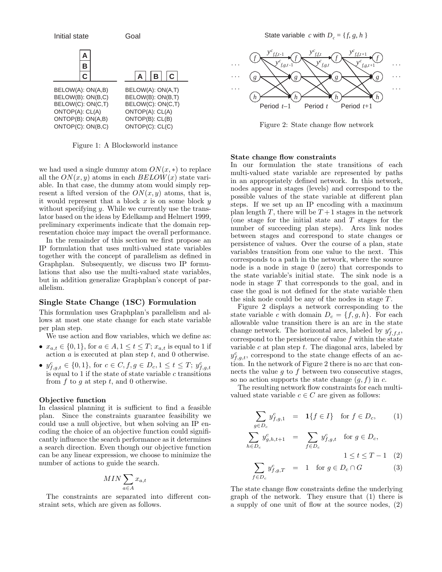

Figure 1: A Blocksworld instance

we had used a single dummy atom  $ON(x,*)$  to replace all the  $ON(x, y)$  atoms in each  $BELOW(x)$  state variable. In that case, the dummy atom would simply represent a lifted version of the  $ON(x, y)$  atoms, that is, it would represent that a block *x* is on some block *y* without specifying *y*. While we currently use the translator based on the ideas by Edelkamp and Helmert 1999, preliminary experiments indicate that the domain representation choice may impact the overall performance.

In the remainder of this section we first propose an IP formulation that uses multi-valued state variables together with the concept of parallelism as defined in Graphplan. Subsequently, we discuss two IP formulations that also use the multi-valued state variables, but in addition generalize Graphplan's concept of parallelism.

## **Single State Change (1SC) Formulation**

This formulation uses Graphplan's parallelism and allows at most one state change for each state variable per plan step.

We use action and flow variables, which we define as:

- $x_{a,t} \in \{0,1\}$ , for  $a \in A, 1 \le t \le T$ ;  $x_{a,t}$  is equal to 1 if action *a* is executed at plan step *t*, and 0 otherwise.
- $y_{f,g,t}^c \in \{0,1\}$ , for  $c \in C, f, g \in D_c, 1 \le t \le T$ ;  $y_f^c$ <br>is equal to 1 if the state of state variable c transition is equal to 1 if the state of state variable  $c$  transitions from *f* to *g* at step *t*, and 0 otherwise.

### **Objective function**

In classical planning it is sufficient to find a feasible plan. Since the constraints guarantee feasibility we could use a null objective, but when solving an IP encoding the choice of an objective function could significantly influence the search performance as it determines a search direction. Even though our objective function can be any linear expression, we choose to minimize the number of actions to guide the search.

$$
MIN \sum_{a \in A} x_{a,t}
$$

The constraints are separated into different constraint sets, which are given as follows.

State variable *c* with  $D_c = \{f, g, h\}$ 



Figure 2: State change flow network

## **State change flow constraints**

In our formulation the state transitions of each multi-valued state variable are represented by paths in an appropriately defined network. In this network, nodes appear in stages (levels) and correspond to the possible values of the state variable at different plan steps. If we set up an IP encoding with a maximum plan length *T*, there will be  $T+1$  stages in the network (one stage for the initial state and *T* stages for the number of succeeding plan steps). Arcs link nodes between stages and correspond to state changes or persistence of values. Over the course of a plan, state variables transition from one value to the next. This corresponds to a path in the network, where the source node is a node in stage 0 (zero) that corresponds to the state variable's initial state. The sink node is a node in stage *T* that corresponds to the goal, and in case the goal is not defined for the state variable then the sink node could be any of the nodes in stage *T*.

Figure 2 displays a network corresponding to the state variable *c* with domain  $D_c = \{f, g, h\}$ . For each allowable value transition there is an arc in the state change network. The horizontal arcs, labeled by  $y_{f,f,t}^c$ , correspond to the persistence of value f within the state correspond to the persistence of value *f* within the state variable *c* at plan step *t*. The diagonal arcs, labeled by  $y_{f,g,t}^c$ , correspond to the state change effects of an ac-<br>tion. In the network of Figure 2 there is no arc that contion. In the network of Figure 2 there is no arc that connects the value *g* to *f* between two consecutive stages, so no action supports the state change  $(g, f)$  in  $c$ .

The resulting network flow constraints for each multivalued state variable  $c \in C$  are given as follows:

$$
\sum_{g \in D_c} y_{f,g,1}^c = 1\{f \in I\} \text{ for } f \in D_c,
$$
\n
$$
\sum_{h \in D_c} y_{g,h,t+1}^c = \sum_{f \in D_c} y_{f,g,t}^c \text{ for } g \in D_c,
$$
\n
$$
1 \le t \le T - 1
$$
\n(2)

$$
\sum_{f \in D_c} y_{f,g,T}^c = 1 \quad \text{for } g \in D_c \cap G \tag{3}
$$

The state change flow constraints define the underlying graph of the network. They ensure that (1) there is a supply of one unit of flow at the source nodes, (2)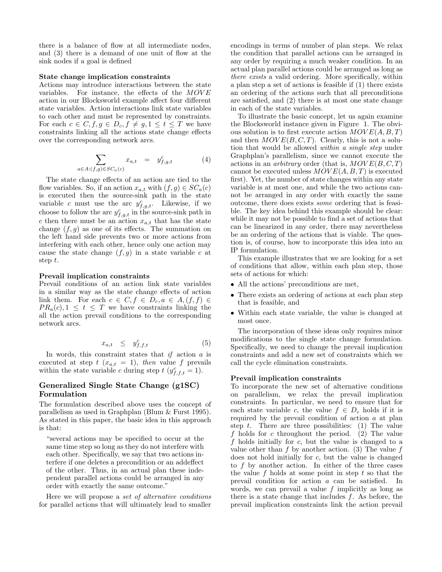there is a balance of flow at all intermediate nodes, and (3) there is a demand of one unit of flow at the sink nodes if a goal is defined

#### **State change implication constraints**

Actions may introduce interactions between the state variables. For instance, the effects of the *MOV E* action in our Blocksworld example affect four different state variables. Action interactions link state variables to each other and must be represented by constraints. For each  $c \in C, f, g \in D_c, f \neq g, 1 \leq t \leq T$  we have constraints linking all the actions state change effects over the corresponding network arcs.

$$
\sum_{a \in A: (f,g) \in SC_a(c)} x_{a,t} = y_{f,g,t}^c \tag{4}
$$

The state change effects of an action are tied to the flow variables. So, if an action  $x_{a,t}$  with  $(f,g) \in SC_a(c)$ is executed then the source-sink path in the state variable *c* must use the arc  $y_{f,g,t}^c$ . Likewise, if we choose to follow the arc  $y_c^c$  in the source sink path in choose to follow the arc  $y_{f,g,t}^c$  in the source-sink path in  $c$  then there must be an action  $x_c$ , that has the state *c* then there must be an action  $x_{a,t}$  that has the state change  $(f, g)$  as one of its effects. The summation on the left hand side prevents two or more actions from interfering with each other, hence only one action may cause the state change  $(f, g)$  in a state variable  $c$  at step *t*.

#### **Prevail implication constraints**

Prevail conditions of an action link state variables in a similar way as the state change effects of action link them. For each  $c \in C, f \in D_c, a \in A, (f, f) \in$  $PR_a(c), 1 \leq t \leq T$  we have constraints linking the all the action prevail conditions to the corresponding network arcs.

$$
x_{a,t} \leq y_{f,f,t}^c \tag{5}
$$

In words, this constraint states that *if* action *a* is executed at step  $t$  ( $x_{a,t} = 1$ ), *then* value  $f$  prevails within the state variable *c* during step  $t$  ( $y_{f,f,t}^c = 1$ ).

# **Generalized Single State Change (g1SC) Formulation**

The formulation described above uses the concept of parallelism as used in Graphplan (Blum & Furst 1995). As stated in this paper, the basic idea in this approach is that:

"several actions may be specified to occur at the same time step so long as they do not interfere with each other. Specifically, we say that two actions interfere if one deletes a precondition or an addeffect of the other. Thus, in an actual plan these independent parallel actions could be arranged in any order with exactly the same outcome."

Here we will propose a *set of alternative conditions* for parallel actions that will ultimately lead to smaller encodings in terms of number of plan steps. We relax the condition that parallel actions can be arranged in any order by requiring a much weaker condition. In an actual plan parallel actions could be arranged as long as *there exists* a valid ordering. More specifically, within a plan step a set of actions is feasible if (1) there exists an ordering of the actions such that all preconditions are satisfied, and (2) there is at most one state change in each of the state variables.

To illustrate the basic concept, let us again examine the Blocksworld instance given in Figure 1. The obvious solution is to first execute action *MOV E*(*A, B, T*) and then  $MOVE(B, C, T)$ . Clearly, this is not a solution that would be allowed *within a single step* under Graphplan's parallelism, since we cannot execute the actions in an *arbitrary* order (that is, *MOV E*(*B, C, T*) cannot be executed unless *MOV E*(*A, B, T*) is executed first). Yet, the number of state changes within any state variable is at most one, and while the two actions cannot be arranged in any order with exactly the same outcome, there does exists *some* ordering that is feasible. The key idea behind this example should be clear: while it may not be possible to find a set of actions that can be linearized in any order, there may nevertheless be an ordering of the actions that is viable. The question is, of course, how to incorporate this idea into an IP formulation.

This example illustrates that we are looking for a set of conditions that allow, within each plan step, those sets of actions for which:

- All the actions' preconditions are met,
- There exists an ordering of actions at each plan step that is feasible, and
- Within each state variable, the value is changed at most once.

The incorporation of these ideas only requires minor modifications to the single state change formulation. Specifically, we need to change the prevail implication constraints and add a new set of constraints which we call the cycle elimination constraints.

#### **Prevail implication constraints**

To incorporate the new set of alternative conditions on parallelism, we relax the prevail implication constraints. In particular, we need to ensure that for each state variable *c*, the value  $f \in D_c$  holds if it is required by the prevail condition of action *a* at plan step *t*. There are three possibilities: (1) The value *f* holds for *c* throughout the period. (2) The value *f* holds initially for *c*, but the value is changed to a value other than  $f$  by another action. (3) The value  $f$ does not hold initially for *c*, but the value is changed to *f* by another action. In either of the three cases the value *f* holds at some point in step *t* so that the prevail condition for action *a* can be satisfied. In words, we can prevail a value *f* implicitly as long as there is a state change that includes *f*. As before, the prevail implication constraints link the action prevail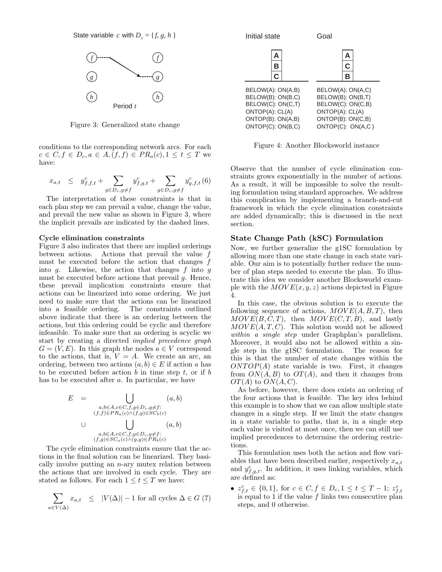State variable *c* with  $D_c = \{f, g, h\}$ 



Figure 3: Generalized state change

conditions to the corresponding network arcs. For each *c* ∈ *C*, *f* ∈ *D*<sub>*c*</sub>, *a* ∈ *A*, (*f*, *f*) ∈ *PR*<sub>*a*</sub>(*c*), 1 ≤ *t* ≤ *T* we have:

$$
x_{a,t} \leq y_{f,f,t}^c + \sum_{g \in D_c, g \neq f} y_{f,g,t}^c + \sum_{g \in D_c, g \neq f} y_{g,f,t}^c \tag{6}
$$

The interpretation of these constraints is that in each plan step we can prevail a value, change the value, and prevail the new value as shown in Figure 3, where the implicit prevails are indicated by the dashed lines.

## **Cycle elimination constraints**

Figure 3 also indicates that there are implied orderings between actions. Actions that prevail the value *f* must be executed before the action that changes *f* into *g*. Likewise, the action that changes *f* into *g* must be executed before actions that prevail *g*. Hence, these prevail implication constraints ensure that actions can be linearized into some ordering. We just need to make sure that the actions can be linearized into a feasible ordering. The constraints outlined above indicate that there is an ordering between the actions, but this ordering could be cyclic and therefore infeasible. To make sure that an ordering is acyclic we start by creating a directed *implied precedence graph*  $G = (V, E)$ . In this graph the nodes  $a \in V$  correspond to the actions, that is,  $V = A$ . We create an arc, an ordering, between two actions  $(a, b) \in E$  if action *a* has to be executed before action *b* in time step *t*, or if *b* has to be executed after *a*. In particular, we have

$$
E = \bigcup_{\substack{a,b \in A, c \in C, f,g \in D_c, g \neq f:\\(f,f) \in PR_a(c) \land (f,g) \in SC_b(c)}} (a,b)
$$
  

$$
\bigcup_{\substack{a,b \in A, c \in C, f,g \in D_c, g \neq f:\\(f,g) \in SC_a(c) \land (g,g) \in PR_b(c)}}
$$

The cycle elimination constraints ensure that the actions in the final solution can be linearized. They basically involve putting an *n*-ary mutex relation between the actions that are involved in each cycle. They are stated as follows. For each  $1 \le t \le T$  we have:

$$
\sum_{a \in V(\Delta)} x_{a,t} \le |V(\Delta)| - 1 \text{ for all cycles } \Delta \in G \text{ (7)}
$$



Figure 4: Another Blocksworld instance

Observe that the number of cycle elimination constraints grows exponentially in the number of actions. As a result, it will be impossible to solve the resulting formulation using standard approaches. We address this complication by implementing a branch-and-cut framework in which the cycle elimination constraints are added dynamically; this is discussed in the next section.

# **State Change Path (kSC) Formulation**

Now, we further generalize the g1SC formulation by allowing more than one state change in each state variable. Our aim is to potentially further reduce the number of plan steps needed to execute the plan. To illustrate this idea we consider another Blocksworld example with the  $MOVE(x, y, z)$  actions depicted in Figure 4.

In this case, the obvious solution is to execute the following sequence of actions,  $Move(A, B, T)$ , then  $MOVE(B, C, T)$ , then  $MONE(C, T, B)$ , and lastly  $MOVE(A, T, C)$ . This solution would not be allowed *within a single step* under Graphplan's parallelism. Moreover, it would also not be allowed within a single step in the g1SC formulation. The reason for this is that the number of state changes within the  $\text{ONTOP}(A)$  state variable is two. First, it changes from  $ON(A, B)$  to  $OT(A)$ , and then it changes from *OT*(*A*) to *ON*(*A, C*).

As before, however, there does exists an ordering of the four actions that is feasible. The key idea behind this example is to show that we can allow multiple state changes in a single step. If we limit the state changes in a state variable to paths, that is, in a single step each value is visited at most once, then we can still use implied precedences to determine the ordering restrictions.

This formulation uses both the action and flow variables that have been described earlier, respectively *<sup>x</sup>a,t* and  $y_{f,g,t}^c$ . In addition, it uses linking variables, which<br>are defined as: are defined as:

•  $z_{f,t}^c \in \{0,1\}$ , for  $c \in C, f \in D_c, 1 \le t \le T-1$ ;  $z_f^c$ <br>is equal to 1 if the value f links two consecutive pla is equal to 1 if the value  $f$  links two consecutive plan steps, and 0 otherwise.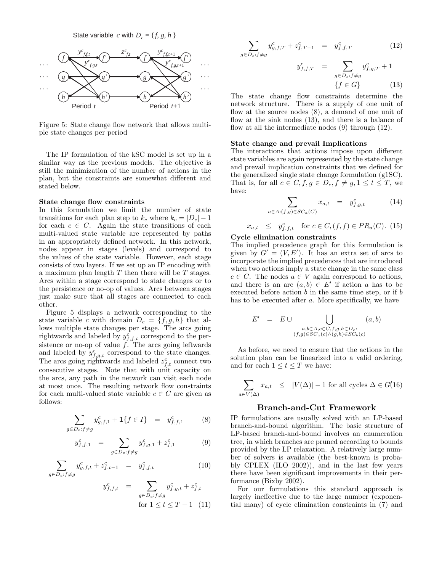State variable *c* with  $D_c = \{f, g, h\}$ 



Figure 5: State change flow network that allows multiple state changes per period

The IP formulation of the kSC model is set up in a similar way as the previous models. The objective is still the minimization of the number of actions in the plan, but the constraints are somewhat different and stated below.

## **State change flow constraints**

In this formulation we limit the number of state transitions for each plan step to  $k_c$  where  $k_c = |D_c| - 1$ for each  $c \in C$ . Again the state transitions of each multi-valued state variable are represented by paths in an appropriately defined network. In this network, nodes appear in stages (levels) and correspond to the values of the state variable. However, each stage consists of two layers. If we set up an IP encoding with a maximum plan length *T* then there will be *T* stages. Arcs within a stage correspond to state changes or to the persistence or no-op of values. Arcs between stages just make sure that all stages are connected to each other.

Figure 5 displays a network corresponding to the state variable *c* with domain  $D_c = \{f, g, h\}$  that allows multiple state changes per stage. The arcs going rightwards and labeled by  $y_{f,f,t}^c$  correspond to the per-<br>sistence or no on of value  $f$ . The arcs going leftwards sistence or no-op of value  $\hat{f}$ . The arcs going leftwards and labeled by  $y_{f,g,t}^c$  correspond to the state changes.<br>The arcs going rightwards and labeled  $z_{f,t}^c$  connect two<br>consecutive stages. Note that with unit canacity on consecutive stages. Note that with unit capacity on the arcs, any path in the network can visit each node at most once. The resulting network flow constraints for each multi-valued state variable  $c \in C$  are given as follows:

$$
\sum_{g \in D_c: f \neq g} y_{g,f,1}^c + \mathbf{1} \{ f \in I \} = y_{f,f,1}^c \tag{8}
$$

$$
y_{f,f,1}^c = \sum_{g \in D_c: f \neq g} y_{f,g,1}^c + z_{f,1}^c \tag{9}
$$

$$
\sum_{g \in D_c : f \neq g} y_{g,f,t}^c + z_{f,t-1}^c = y_{f,f,t}^c \tag{10}
$$

$$
y_{f,f,t}^c = \sum_{g \in D_c: f \neq g} y_{f,g,t}^c + z_{f,t}^c
$$
  
for  $1 \le t \le T - 1$  (11)

$$
\sum_{g \in D_c: f \neq g} y_{g,f,T}^c + z_{f,T-1}^c = y_{f,f,T}^c \tag{12}
$$

$$
y_{f,f,T}^c = \sum_{g \in D_c: f \neq g} y_{f,g,T}^c + \mathbf{1}
$$

$$
\{f \in G\}
$$
(13)

The state change flow constraints determine the network structure. There is a supply of one unit of flow at the source nodes (8), a demand of one unit of flow at the sink nodes (13), and there is a balance of flow at all the intermediate nodes (9) through (12).

## **State change and prevail Implications**

The interactions that actions impose upon different state variables are again represented by the state change and prevail implication constraints that we defined for the generalized single state change formulation (g1SC). That is, for all  $c \in C$ ,  $f, g \in D_c$ ,  $f \neq g, 1 \leq t \leq T$ , we have:

$$
\sum_{a \in A: (f,g) \in SC_a(C)} x_{a,t} = y_{f,g,t}^c \tag{14}
$$

$$
x_{a,t} \leq y_{f,f,t}^c \text{ for } c \in C, (f,f) \in PR_a(C). (15)
$$

## **Cycle elimination constraints**

The implied precedence graph for this formulation is given by  $G' = (V, E')$ . It has an extra set of arcs to incorporate the implied precedences that are introduced when two actions imply a state change in the same class  $c \in C$ . The nodes  $a \in V$  again correspond to actions, and there is an arc  $(a, b) \in E'$  if action *a* has to be executed before action *b* in the same time step, or if *b* has to be executed after *a*. More specifically, we have

$$
E' = E \cup \bigcup_{\substack{a,b \in A, c \in C, f, g, h \in D_c:\\(f,g) \in SC_a(c) \land (g,h) \in SC_b(c)}}
$$
 (a, b)

As before, we need to ensure that the actions in the solution plan can be linearized into a valid ordering, and for each  $1 \le t \le T$  we have:

$$
\sum_{a \in V(\Delta)} x_{a,t} \le |V(\Delta)| - 1
$$
 for all cycles  $\Delta \in G(16)$ 

#### **Branch-and-Cut Framework**

IP formulations are usually solved with an LP-based branch-and-bound algorithm. The basic structure of LP-based branch-and-bound involves an enumeration tree, in which branches are pruned according to bounds provided by the LP relaxation. A relatively large number of solvers is available (the best-known is probably CPLEX (ILO 2002)), and in the last few years there have been significant improvements in their performance (Bixby 2002).

For our formulations this standard approach is largely ineffective due to the large number (exponential many) of cycle elimination constraints in (7) and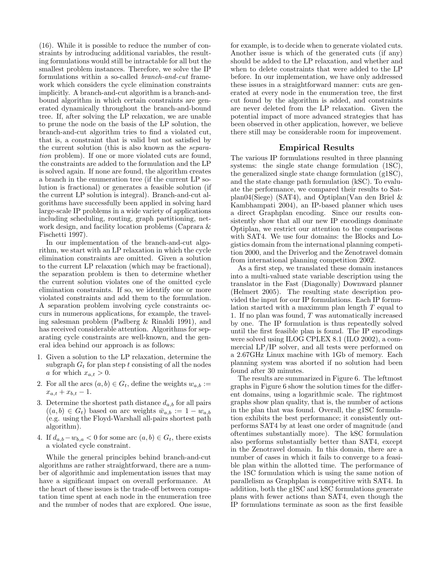(16). While it is possible to reduce the number of constraints by introducing additional variables, the resulting formulations would still be intractable for all but the smallest problem instances. Therefore, we solve the IP formulations within a so-called *branch-and-cut* framework which considers the cycle elimination constraints implicitly. A branch-and-cut algorithm is a branch-andbound algorithm in which certain constraints are generated dynamically throughout the branch-and-bound tree. If, after solving the LP relaxation, we are unable to prune the node on the basis of the LP solution, the branch-and-cut algorithm tries to find a violated cut, that is, a constraint that is valid but not satisfied by the current solution (this is also known as the *separation* problem). If one or more violated cuts are found, the constraints are added to the formulation and the LP is solved again. If none are found, the algorithm creates a branch in the enumeration tree (if the current LP solution is fractional) or generates a feasible solution (if the current LP solution is integral). Branch-and-cut algorithms have successfully been applied in solving hard large-scale IP problems in a wide variety of applications including scheduling, routing, graph partitioning, network design, and facility location problems (Caprara & Fischetti 1997).

In our implementation of the branch-and-cut algorithm, we start with an LP relaxation in which the cycle elimination constraints are omitted. Given a solution to the current LP relaxation (which may be fractional), the separation problem is then to determine whether the current solution violates one of the omitted cycle elimination constraints. If so, we identify one or more violated constraints and add them to the formulation. A separation problem involving cycle constraints occurs in numerous applications, for example, the traveling salesman problem (Padberg & Rinaldi 1991), and has received considerable attention. Algorithms for separating cycle constraints are well-known, and the general idea behind our approach is as follows:

- 1. Given a solution to the LP relaxation, determine the subgraph  $G_t$  for plan step  $t$  consisting of all the nodes *a* for which  $x_{a,t} > 0$ .
- 2. For all the arcs  $(a, b) \in G_t$ , define the weights  $w_{a,b} :=$  $x_{a,t} + x_{b,t} - 1.$
- 3. Determine the shortest path distance  $d_{a,b}$  for all pairs  $((a, b) \in G_t)$  based on arc weights  $\bar{w}_{a,b} := 1 - w_{a,b}$ (e.g. using the Floyd-Warshall all-pairs shortest path algorithm).
- 4. If  $d_{a,b}-w_{b,a} < 0$  for some arc  $(a,b) \in G_t$ , there exists a violated cycle constraint.

While the general principles behind branch-and-cut algorithms are rather straightforward, there are a number of algorithmic and implementation issues that may have a significant impact on overall performance. At the heart of these issues is the trade-off between computation time spent at each node in the enumeration tree and the number of nodes that are explored. One issue,

for example, is to decide when to generate violated cuts. Another issue is which of the generated cuts (if any) should be added to the LP relaxation, and whether and when to delete constraints that were added to the LP before. In our implementation, we have only addressed these issues in a straightforward manner: cuts are generated at every node in the enumeration tree, the first cut found by the algorithm is added, and constraints are never deleted from the LP relaxation. Given the potential impact of more advanced strategies that has been observed in other application, however, we believe there still may be considerable room for improvement.

# **Empirical Results**

The various IP formulations resulted in three planning systems: the single state change formulation (1SC), the generalized single state change formulation (g1SC), and the state change path formulation (kSC). To evaluate the performance, we compared their results to Satplan04(Siege) (SAT4), and Optiplan(Van den Briel & Kambhampati 2004), an IP-based planner which uses a direct Graphplan encoding. Since our results consistently show that all our new IP encodings dominate Optiplan, we restrict our attention to the comparisons with SAT4. We use four domains: the Blocks and Logistics domain from the international planning competition 2000, and the Driverlog and the Zenotravel domain from international planning competition 2002.

As a first step, we translated these domain instances into a multi-valued state variable description using the translator in the Fast (Diagonally) Downward planner (Helmert 2005). The resulting state description provided the input for our IP formulations. Each IP formulation started with a maximum plan length *T* equal to 1. If no plan was found, *T* was automatically increased by one. The IP formulation is thus repeatedly solved until the first feasible plan is found. The IP encodings were solved using ILOG CPLEX 8.1 (ILO 2002), a commercial LP/IP solver, and all tests were performed on a 2.67GHz Linux machine with 1Gb of memory. Each planning system was aborted if no solution had been found after 30 minutes.

The results are summarized in Figure 6. The leftmost graphs in Figure 6 show the solution times for the different domains, using a logarithmic scale. The rightmost graphs show plan quality, that is, the number of actions in the plan that was found. Overall, the g1SC formulation exhibits the best performance; it consistently outperforms SAT4 by at least one order of magnitude (and oftentimes substantially more). The kSC formulation also performs substantially better than SAT4, except in the Zenotravel domain. In this domain, there are a number of cases in which it fails to converge to a feasible plan within the allotted time. The performance of the 1SC formulation which is using the same notion of parallelism as Graphplan is competitive with SAT4. In addition, both the g1SC and kSC formulations generate plans with fewer actions than SAT4, even though the IP formulations terminate as soon as the first feasible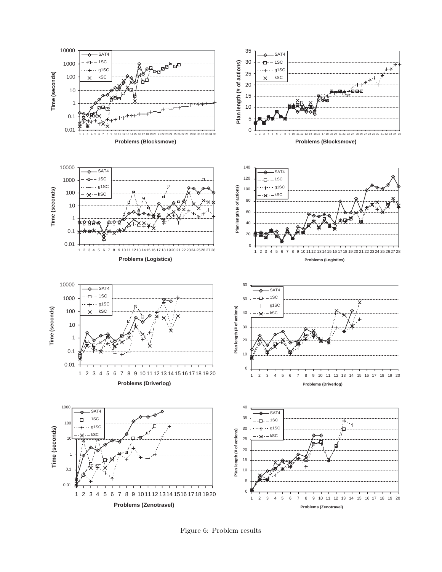

Figure 6: Problem results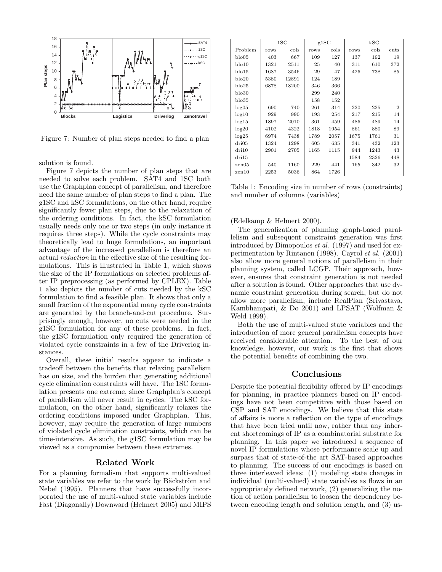

Figure 7: Number of plan steps needed to find a plan

solution is found.

Figure 7 depicts the number of plan steps that are needed to solve each problem. SAT4 and 1SC both use the Graphplan concept of parallelism, and therefore need the same number of plan steps to find a plan. The g1SC and kSC formulations, on the other hand, require significantly fewer plan steps, due to the relaxation of the ordering conditions. In fact, the kSC formulation usually needs only one or two steps (in only instance it requires three steps). While the cycle constraints may theoretically lead to huge formulations, an important advantage of the increased parallelism is therefore an actual *reduction* in the effective size of the resulting formulations. This is illustrated in Table 1, which shows the size of the IP formulations on selected problems after IP preprocessing (as performed by CPLEX). Table 1 also depicts the number of cuts needed by the kSC formulation to find a feasible plan. It shows that only a small fraction of the exponential many cycle constraints are generated by the branch-and-cut procedure. Surprisingly enough, however, no cuts were needed in the g1SC formulation for any of these problems. In fact, the g1SC formulation only required the generation of violated cycle constraints in a few of the Driverlog instances.

Overall, these initial results appear to indicate a tradeoff between the benefits that relaxing parallelism has on size, and the burden that generating additional cycle elimination constraints will have. The 1SC formulation presents one extreme, since Graphplan's concept of parallelism will never result in cycles. The kSC formulation, on the other hand, significantly relaxes the ordering conditions imposed under Graphplan. This, however, may require the generation of large numbers of violated cycle elimination constraints, which can be time-intensive. As such, the g1SC formulation may be viewed as a compromise between these extremes.

# **Related Work**

For a planning formalism that supports multi-valued state variables we refer to the work by Bäckström and Nebel (1995). Planners that have successfully incorporated the use of multi-valued state variables include Fast (Diagonally) Downward (Helmert 2005) and MIPS

|             | 1SC  |       | g1SC |      | $_{\rm kSC}$ |      |                |
|-------------|------|-------|------|------|--------------|------|----------------|
| Problem     | rows | cols  | rows | cols | rows         | cols | cuts           |
| $b$ lo $05$ | 403  | 667   | 109  | 127  | 137          | 192  | 19             |
| $b$ lo $10$ | 1321 | 2511  | 25   | 40   | 311          | 610  | 372            |
| $b$ lo $15$ | 1687 | 3546  | 29   | 47   | 426          | 738  | 85             |
| $b$ lo $20$ | 5380 | 12891 | 124  | 189  |              |      |                |
| $b$ lo $25$ | 6878 | 18200 | 346  | 366  |              |      |                |
| $b$ lo $30$ |      |       | 299  | 240  |              |      |                |
| $b$ lo $35$ |      |       | 158  | 152  |              |      |                |
| log05       | 690  | 740   | 261  | 314  | 220          | 225  | $\overline{2}$ |
| log10       | 929  | 990   | 193  | 254  | 217          | 215  | 14             |
| log15       | 1897 | 2010  | 361  | 459  | 486          | 489  | 14             |
| log20       | 4102 | 4322  | 1818 | 1954 | 861          | 880  | 89             |
| log25       | 6974 | 7438  | 1789 | 2057 | 1675         | 1761 | 31             |
| dri05       | 1324 | 1298  | 605  | 635  | 341          | 432  | 123            |
| dri10       | 2901 | 2705  | 1165 | 1115 | 944          | 1243 | 43             |
| dri15       |      |       |      |      | 1584         | 2326 | 448            |
| zen05       | 540  | 1160  | 229  | 441  | 165          | 342  | 32             |
| zen10       | 2253 | 5036  | 864  | 1726 |              |      |                |

Table 1: Encoding size in number of rows (constraints) and number of columns (variables)

#### (Edelkamp & Helmert 2000).

The generalization of planning graph-based parallelism and subsequent constraint generation was first introduced by Dimopoulos *et al.* (1997) and used for experimentation by Rintanen (1998). Cayrol *et al.* (2001) also allow more general notions of parallelism in their planning system, called LCGP. Their approach, however, ensures that constraint generation is not needed after a solution is found. Other approaches that use dynamic constraint generation during search, but do not allow more parallelism, include RealPlan (Srivastava, Kambhampati, & Do 2001) and LPSAT (Wolfman & Weld 1999).

Both the use of multi-valued state variables and the introduction of more general parallelism concepts have received considerable attention. To the best of our knowledge, however, our work is the first that shows the potential benefits of combining the two.

# **Conclusions**

Despite the potential flexibility offered by IP encodings for planning, in practice planners based on IP encodings have not been competitive with those based on CSP and SAT encodings. We believe that this state of affairs is more a reflection on the type of encodings that have been tried until now, rather than any inherent shortcomings of IP as a combinatorial substrate for planning. In this paper we introduced a sequence of novel IP formulations whose performance scale up and surpass that of state-of-the art SAT-based approaches to planning. The success of our encodings is based on three interleaved ideas: (1) modeling state changes in individual (multi-valued) state variables as flows in an appropriately defined network, (2) generalizing the notion of action parallelism to loosen the dependency between encoding length and solution length, and (3) us